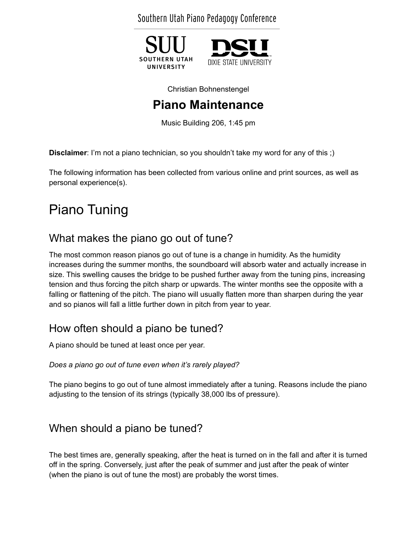Southern Utah Piano Pedagogy Conference



DIXIE STATE UNIVERSITY

Christian Bohnenstengel

# **Piano Maintenance**

Music Building 206, 1:45 pm

**Disclaimer**: I'm not a piano technician, so you shouldn't take my word for any of this ;)

The following information has been collected from various online and print sources, as well as personal experience(s).

# Piano Tuning

# What makes the piano go out of tune?

The most common reason pianos go out of tune is a change in humidity. As the humidity increases during the summer months, the soundboard will absorb water and actually increase in size. This swelling causes the bridge to be pushed further away from the tuning pins, increasing tension and thus forcing the pitch sharp or upwards. The winter months see the opposite with a falling or flattening of the pitch. The piano will usually flatten more than sharpen during the year and so pianos will fall a little further down in pitch from year to year.

# How often should a piano be tuned?

A piano should be tuned at least once per year.

*Does a piano go out of tune even when it's rarely played?*

The piano begins to go out of tune almost immediately after a tuning. Reasons include the piano adjusting to the tension of its strings (typically 38,000 lbs of pressure).

#### When should a piano be tuned?

The best times are, generally speaking, after the heat is turned on in the fall and after it is turned off in the spring. Conversely, just after the peak of summer and just after the peak of winter (when the piano is out of tune the most) are probably the worst times.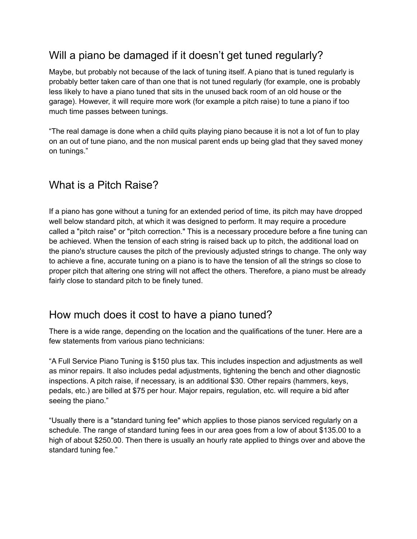# Will a piano be damaged if it doesn't get tuned regularly?

Maybe, but probably not because of the lack of tuning itself. A piano that is tuned regularly is probably better taken care of than one that is not tuned regularly (for example, one is probably less likely to have a piano tuned that sits in the unused back room of an old house or the garage). However, it will require more work (for example a pitch raise) to tune a piano if too much time passes between tunings.

"The real damage is done when a child quits playing piano because it is not a lot of fun to play on an out of tune piano, and the non musical parent ends up being glad that they saved money on tunings."

# What is a Pitch Raise?

If a piano has gone without a tuning for an extended period of time, its pitch may have dropped well below standard pitch, at which it was designed to perform. It may require a procedure called a "pitch raise" or "pitch correction." This is a necessary procedure before a fine tuning can be achieved. When the tension of each string is raised back up to pitch, the additional load on the piano's structure causes the pitch of the previously adjusted strings to change. The only way to achieve a fine, accurate tuning on a piano is to have the tension of all the strings so close to proper pitch that altering one string will not affect the others. Therefore, a piano must be already fairly close to standard pitch to be finely tuned.

#### How much does it cost to have a piano tuned?

There is a wide range, depending on the location and the qualifications of the tuner. Here are a few statements from various piano technicians:

"A Full Service Piano Tuning is \$150 plus tax. This includes inspection and adjustments as well as minor repairs. It also includes pedal adjustments, tightening the bench and other diagnostic inspections. A pitch raise, if necessary, is an additional \$30. Other repairs (hammers, keys, pedals, etc.) are billed at \$75 per hour. Major repairs, regulation, etc. will require a bid after seeing the piano."

"Usually there is a "standard tuning fee" which applies to those pianos serviced regularly on a schedule. The range of standard tuning fees in our area goes from a low of about \$135.00 to a high of about \$250.00. Then there is usually an hourly rate applied to things over and above the standard tuning fee."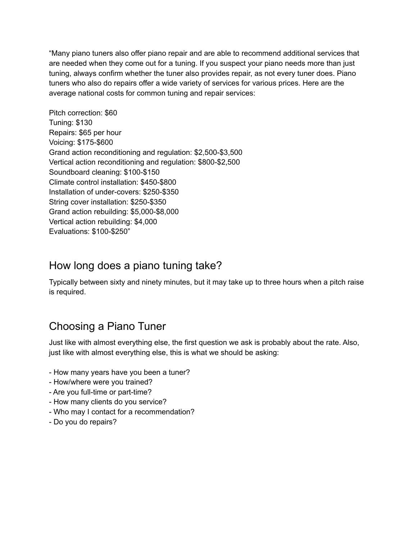"Many piano tuners also offer piano repair and are able to recommend additional services that are needed when they come out for a tuning. If you suspect your piano needs more than just tuning, always confirm whether the tuner also provides repair, as not every tuner does. Piano tuners who also do repairs offer a wide variety of services for various prices. Here are the average national costs for common tuning and repair services:

Pitch correction: \$60 Tuning: \$130 Repairs: \$65 per hour Voicing: \$175-\$600 Grand action reconditioning and regulation: \$2,500-\$3,500 Vertical action reconditioning and regulation: \$800-\$2,500 Soundboard cleaning: \$100-\$150 Climate control installation: \$450-\$800 Installation of under-covers: \$250-\$350 String cover installation: \$250-\$350 Grand action rebuilding: \$5,000-\$8,000 Vertical action rebuilding: \$4,000 Evaluations: \$100-\$250"

#### How long does a piano tuning take?

Typically between sixty and ninety minutes, but it may take up to three hours when a pitch raise is required.

# Choosing a Piano Tuner

Just like with almost everything else, the first question we ask is probably about the rate. Also, just like with almost everything else, this is what we should be asking:

- How many years have you been a tuner?
- How/where were you trained?
- Are you full-time or part-time?
- How many clients do you service?
- Who may I contact for a recommendation?
- Do you do repairs?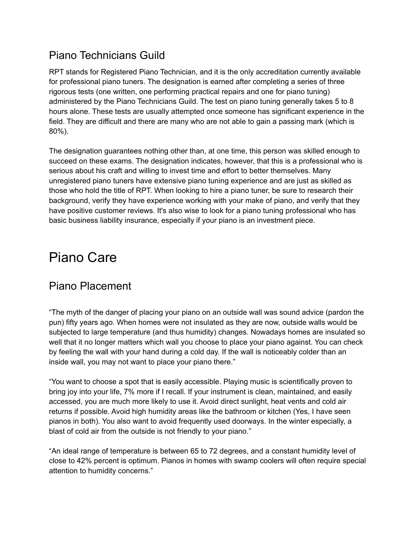# Piano Technicians Guild

RPT stands for Registered Piano Technician, and it is the only accreditation currently available for professional piano tuners. The designation is earned after completing a series of three rigorous tests (one written, one performing practical repairs and one for piano tuning) administered by the Piano Technicians Guild. The test on piano tuning generally takes 5 to 8 hours alone. These tests are usually attempted once someone has significant experience in the field. They are difficult and there are many who are not able to gain a passing mark (which is 80%).

The designation guarantees nothing other than, at one time, this person was skilled enough to succeed on these exams. The designation indicates, however, that this is a professional who is serious about his craft and willing to invest time and effort to better themselves. Many unregistered piano tuners have extensive piano tuning experience and are just as skilled as those who hold the title of RPT. When looking to hire a piano tuner, be sure to research their background, verify they have experience working with your make of piano, and verify that they have positive customer reviews. It's also wise to look for a piano tuning professional who has basic business liability insurance, especially if your piano is an investment piece.

# Piano Care

#### Piano Placement

"The myth of the danger of placing your piano on an outside wall was sound advice (pardon the pun) fifty years ago. When homes were not insulated as they are now, outside walls would be subjected to large temperature (and thus humidity) changes. Nowadays homes are insulated so well that it no longer matters which wall you choose to place your piano against. You can check by feeling the wall with your hand during a cold day. If the wall is noticeably colder than an inside wall, you may not want to place your piano there."

"You want to choose a spot that is easily accessible. Playing music is scientifically proven to bring joy into your life, 7% more if I recall. If your instrument is clean, maintained, and easily accessed, you are much more likely to use it. Avoid direct sunlight, heat vents and cold air returns if possible. Avoid high humidity areas like the bathroom or kitchen (Yes, I have seen pianos in both). You also want to avoid frequently used doorways. In the winter especially, a blast of cold air from the outside is not friendly to your piano."

"An ideal range of temperature is between 65 to 72 degrees, and a constant humidity level of close to 42% percent is optimum. Pianos in homes with swamp coolers will often require special attention to humidity concerns."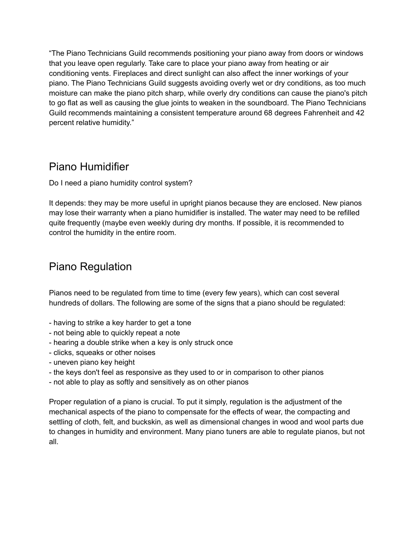"The Piano Technicians Guild recommends positioning your piano away from doors or windows that you leave open regularly. Take care to place your piano away from heating or air conditioning vents. Fireplaces and direct sunlight can also affect the inner workings of your piano. The Piano Technicians Guild suggests avoiding overly wet or dry conditions, as too much moisture can make the piano pitch sharp, while overly dry conditions can cause the piano's pitch to go flat as well as causing the glue joints to weaken in the soundboard. The Piano Technicians Guild recommends maintaining a consistent temperature around 68 degrees Fahrenheit and 42 percent relative humidity."

### Piano Humidifier

Do I need a piano humidity control system?

It depends: they may be more useful in upright pianos because they are enclosed. New pianos may lose their warranty when a piano humidifier is installed. The water may need to be refilled quite frequently (maybe even weekly during dry months. If possible, it is recommended to control the humidity in the entire room.

# Piano Regulation

Pianos need to be regulated from time to time (every few years), which can cost several hundreds of dollars. The following are some of the signs that a piano should be regulated:

- having to strike a key harder to get a tone
- not being able to quickly repeat a note
- hearing a double strike when a key is only struck once
- clicks, squeaks or other noises
- uneven piano key height
- the keys don't feel as responsive as they used to or in comparison to other pianos
- not able to play as softly and sensitively as on other pianos

Proper regulation of a piano is crucial. To put it simply, regulation is the adjustment of the mechanical aspects of the piano to compensate for the effects of wear, the compacting and settling of cloth, felt, and buckskin, as well as dimensional changes in wood and wool parts due to changes in humidity and environment. Many piano tuners are able to regulate pianos, but not all.